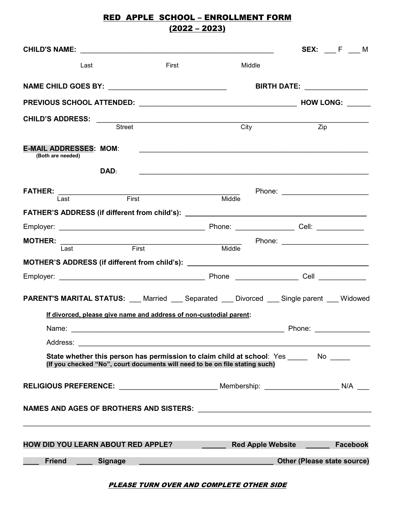# RED APPLE SCHOOL – ENROLLMENT FORM  $(2022 - 2023)$

| CHILD'S NAME:                                                                    |                |       |                                                                                                                      |                          |                                                                                        | <b>SEX:</b> F __ M |
|----------------------------------------------------------------------------------|----------------|-------|----------------------------------------------------------------------------------------------------------------------|--------------------------|----------------------------------------------------------------------------------------|--------------------|
| Last                                                                             |                | First |                                                                                                                      | Middle                   |                                                                                        |                    |
|                                                                                  |                |       |                                                                                                                      |                          | <b>BIRTH DATE:</b> ______________                                                      |                    |
|                                                                                  |                |       |                                                                                                                      |                          |                                                                                        |                    |
|                                                                                  | Street         |       |                                                                                                                      | City                     | Zip                                                                                    |                    |
| <b>E-MAIL ADDRESSES: MOM:</b><br>(Both are needed)                               |                |       |                                                                                                                      |                          | <u> 1989 - Andrea Station Andrea Station (m. 1989)</u>                                 |                    |
|                                                                                  | DAD:           |       |                                                                                                                      |                          |                                                                                        |                    |
| <b>FATHER:</b><br>Last First                                                     |                |       | Middle                                                                                                               |                          | Phone: ________________________                                                        |                    |
| FATHER'S ADDRESS (if different from child's): __________________________________ |                |       |                                                                                                                      |                          |                                                                                        |                    |
|                                                                                  |                |       |                                                                                                                      |                          |                                                                                        |                    |
| <b>MOTHER:</b><br>Last First                                                     |                |       | $\mathbb{R}^n$<br>Middle                                                                                             |                          | Phone: _________________________                                                       |                    |
| MOTHER'S ADDRESS (if different from child's): __________________________________ |                |       |                                                                                                                      |                          |                                                                                        |                    |
|                                                                                  |                |       |                                                                                                                      |                          |                                                                                        |                    |
| <b>PARENT'S MARITAL STATUS:</b> Married Separated Divorced Single parent Midowed |                |       |                                                                                                                      |                          |                                                                                        |                    |
|                                                                                  |                |       | If divorced, please give name and address of non-custodial parent:                                                   |                          |                                                                                        |                    |
| Name:                                                                            |                |       |                                                                                                                      |                          | Phone:                                                                                 |                    |
| Address:                                                                         |                |       |                                                                                                                      |                          |                                                                                        |                    |
|                                                                                  |                |       | (If you checked "No", court documents will need to be on file stating such)                                          |                          | State whether this person has permission to claim child at school: Yes ______ No _____ |                    |
|                                                                                  |                |       |                                                                                                                      |                          |                                                                                        |                    |
|                                                                                  |                |       |                                                                                                                      |                          |                                                                                        |                    |
|                                                                                  |                |       |                                                                                                                      |                          |                                                                                        |                    |
| HOW DID YOU LEARN ABOUT RED APPLE?                                               |                |       |                                                                                                                      | <b>Red Apple Website</b> | <u> Alban a shekara t</u>                                                              | <b>Facebook</b>    |
| <b>Friend</b>                                                                    | <b>Signage</b> |       | <u> 1989 - Johann Stein, marwolaethau a bhann an t-Amhain an t-Amhain an t-Amhain an t-Amhain an t-Amhain an t-A</u> |                          | Other (Please state source)                                                            |                    |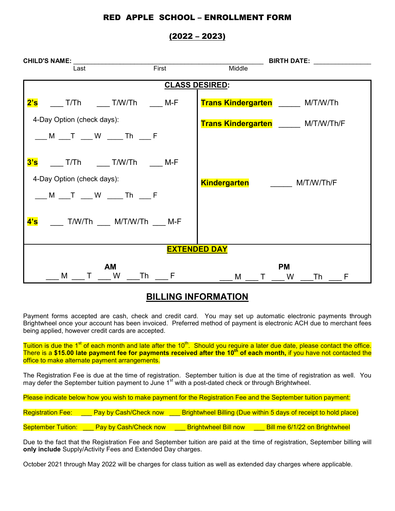### RED APPLE SCHOOL – ENROLLMENT FORM

### (2022 – 2023)

| <b>CHILD'S NAME:</b>                                                      |       | BIRTH DATE: NAMEL SERVICE               |  |  |  |  |  |  |
|---------------------------------------------------------------------------|-------|-----------------------------------------|--|--|--|--|--|--|
| Last                                                                      | First | Middle                                  |  |  |  |  |  |  |
| <b>CLASS DESIRED:</b>                                                     |       |                                         |  |  |  |  |  |  |
| $2^{\prime}$ s $\qquad \qquad$<br>T/Th             T/W/Th             M-F |       | <b>Trans Kindergarten M/T/W/Th</b>      |  |  |  |  |  |  |
| 4-Day Option (check days):                                                |       | Trans Kindergarten M/T/W/Th/F           |  |  |  |  |  |  |
|                                                                           |       |                                         |  |  |  |  |  |  |
| 3's T/Th __ T/W/Th ___ M-F                                                |       |                                         |  |  |  |  |  |  |
| 4-Day Option (check days):                                                |       | <b>Kindergarten</b><br>M/T/W/Th/F       |  |  |  |  |  |  |
| __ M __ T __ W ___ Th __ F                                                |       |                                         |  |  |  |  |  |  |
| 4's<br>T/W/Th          M/T/W/Th         M-F                               |       |                                         |  |  |  |  |  |  |
| <b>EXTENDED DAY</b>                                                       |       |                                         |  |  |  |  |  |  |
| AM<br>M T W Th F                                                          |       | <b>PM</b><br>M<br>T W<br><b>Th</b><br>F |  |  |  |  |  |  |

## **BILLING INFORMATION**

Payment forms accepted are cash, check and credit card. You may set up automatic electronic payments through Brightwheel once your account has been invoiced. Preferred method of payment is electronic ACH due to merchant fees being applied, however credit cards are accepted.

Tuition is due the 1<sup>st</sup> of each month and late after the 10<sup>th</sup>. Should you require a later due date, please contact the office. There is a \$15.00 late payment fee for payments received after the 10<sup>th</sup> of each month, if you have not contacted the office to make alternate payment arrangements.

The Registration Fee is due at the time of registration. September tuition is due at the time of registration as well. You may defer the September tuition payment to June 1<sup>st</sup> with a post-dated check or through Brightwheel.

Please indicate below how you wish to make payment for the Registration Fee and the September tuition payment:

| <b>Registration Fee:</b>  | Pay by Cash/Check now        |                             | <b>Brightwheel Billing (Due within 5 days of receipt to hold place)</b> |
|---------------------------|------------------------------|-----------------------------|-------------------------------------------------------------------------|
|                           |                              |                             |                                                                         |
| <b>September Tuition:</b> | <b>Pay by Cash/Check now</b> | <u>Brightwheel Bill now</u> | Bill me 6/1/22 on Brightwheel                                           |

Due to the fact that the Registration Fee and September tuition are paid at the time of registration, September billing will **only include** Supply/Activity Fees and Extended Day charges.

October 2021 through May 2022 will be charges for class tuition as well as extended day charges where applicable.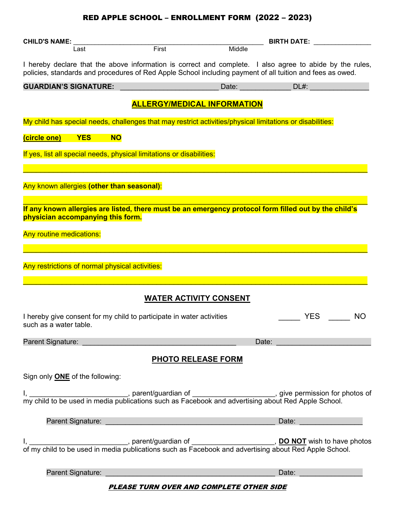# RED APPLE SCHOOL – ENROLLMENT FORM (2022 – 2023)

| <b>CHILD'S NAME:</b>                                                                                                                                                                                                               |                                                 | <b>BIRTH DATE:</b> |         |           |  |  |  |
|------------------------------------------------------------------------------------------------------------------------------------------------------------------------------------------------------------------------------------|-------------------------------------------------|--------------------|---------|-----------|--|--|--|
| Last                                                                                                                                                                                                                               | First                                           | Middle             |         |           |  |  |  |
| I hereby declare that the above information is correct and complete. I also agree to abide by the rules,<br>policies, standards and procedures of Red Apple School including payment of all tuition and fees as owed.              |                                                 |                    |         |           |  |  |  |
| <b>GUARDIAN'S SIGNATURE:</b>                                                                                                                                                                                                       |                                                 | Date:              | $DL#$ : |           |  |  |  |
|                                                                                                                                                                                                                                    | <b>ALLERGY/MEDICAL INFORMATION</b>              |                    |         |           |  |  |  |
| My child has special needs, challenges that may restrict activities/physical limitations or disabilities:                                                                                                                          |                                                 |                    |         |           |  |  |  |
| (circle one)<br><b>YES</b><br><b>NO</b>                                                                                                                                                                                            |                                                 |                    |         |           |  |  |  |
| If yes, list all special needs, physical limitations or disabilities:                                                                                                                                                              |                                                 |                    |         |           |  |  |  |
|                                                                                                                                                                                                                                    |                                                 |                    |         |           |  |  |  |
| Any known allergies (other than seasonal):                                                                                                                                                                                         |                                                 |                    |         |           |  |  |  |
|                                                                                                                                                                                                                                    |                                                 |                    |         |           |  |  |  |
| If any known allergies are listed, there must be an emergency protocol form filled out by the child's<br>physician accompanying this form.                                                                                         |                                                 |                    |         |           |  |  |  |
| <b>Any routine medications:</b>                                                                                                                                                                                                    |                                                 |                    |         |           |  |  |  |
|                                                                                                                                                                                                                                    |                                                 |                    |         |           |  |  |  |
| Any restrictions of normal physical activities:                                                                                                                                                                                    |                                                 |                    |         |           |  |  |  |
|                                                                                                                                                                                                                                    |                                                 |                    |         |           |  |  |  |
|                                                                                                                                                                                                                                    | <b>WATER ACTIVITY CONSENT</b>                   |                    |         |           |  |  |  |
| I hereby give consent for my child to participate in water activities<br>such as a water table.                                                                                                                                    |                                                 |                    | YES     | <b>NO</b> |  |  |  |
| Parent Signature:                                                                                                                                                                                                                  |                                                 |                    | Date:   |           |  |  |  |
|                                                                                                                                                                                                                                    | <b>PHOTO RELEASE FORM</b>                       |                    |         |           |  |  |  |
| Sign only <b>ONE</b> of the following:                                                                                                                                                                                             |                                                 |                    |         |           |  |  |  |
| I, _______________________, parent/guardian of ______________________, give permission for photos of my child to be used in media publications such as Facebook and advertising about Red Apple School.                            |                                                 |                    |         |           |  |  |  |
| <b>Parent Signature: Contract Contract Contract Contract Contract Contract Contract Contract Contract Contract Contract Contract Contract Contract Contract Contract Contract Contract Contract Contract Contract Contract Con</b> |                                                 |                    | Date:   |           |  |  |  |
| I, $\frac{1}{2}$ , parent/guardian of $\frac{1}{2}$ , <b>DO NOT</b> wish to have photos of my child to be used in media publications such as Facebook and advertising about Red Apple School.                                      |                                                 |                    |         |           |  |  |  |
| Parent Signature:                                                                                                                                                                                                                  |                                                 |                    | Date:   |           |  |  |  |
|                                                                                                                                                                                                                                    | <b>PLEASE TURN OVER AND COMPLETE OTHER SIDE</b> |                    |         |           |  |  |  |